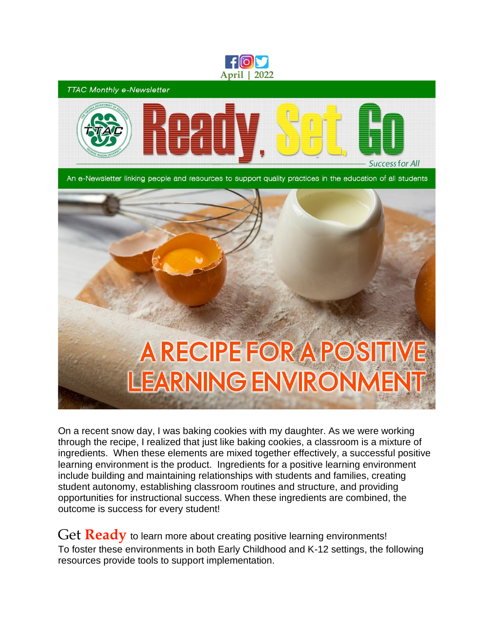

**TTAC Monthly e-Newsletter** 



An e-Newsletter linking people and resources to support quality practices in the education of all students



On a recent snow day, I was baking cookies with my daughter. As we were working through the recipe, I realized that just like baking cookies, a classroom is a mixture of ingredients. When these elements are mixed together effectively, a successful positive learning environment is the product. Ingredients for a positive learning environment include building and maintaining relationships with students and families, creating student autonomy, establishing classroom routines and structure, and providing opportunities for instructional success. When these ingredients are combined, the outcome is success for every student!

Get **Ready** to learn more about creating positive learning environments! To foster these environments in both Early Childhood and K-12 settings, the following resources provide tools to support implementation.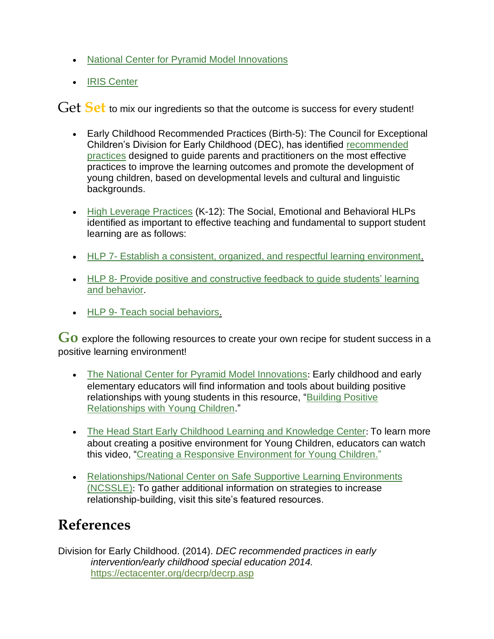- [National Center for Pyramid Model Innovations](https://challengingbehavior.cbcs.usf.edu/index.html)
- [IRIS Center](http://ttaconline.org/Resource/JWHaEa5BS76QmTE84tGsnw/Resource-the-iris-center-vanderbilt-peabody-college)

Get Set to mix our ingredients so that the outcome is success for every student!

- Early Childhood Recommended Practices (Birth-5): The Council for Exceptional Children's Division for Early Childhood (DEC), has identified [recommended](https://ectacenter.org/decrp/decrp.asp)  [practices](https://ectacenter.org/decrp/decrp.asp) designed to guide parents and practitioners on the most effective practices to improve the learning outcomes and promote the development of young children, based on developmental levels and cultural and linguistic backgrounds.
- [High Leverage Practices](https://highleveragepractices.org/) (K-12): The Social, Emotional and Behavioral HLPs identified as important to effective teaching and fundamental to support student learning are as follows:
- HLP 7- [Establish a consistent, organized, and respectful learning environment.](https://highleveragepractices.org/701-2-4-2-2/)
- HLP 8- Provide positive and constructive feedback to guide students' learning [and behavior.](https://highleveragepractices.org/701-2-3/)
- HLP 9- [Teach social behaviors.](https://highleveragepractices.org/four-areas-practice-k-12/social-emotional-behavioral)

Go explore the following resources to create your own recipe for student success in a positive learning environment!

- [The National Center for Pyramid Model Innovations](https://challengingbehavior.cbcs.usf.edu/index.html): Early childhood and early elementary educators will find information and tools about building positive relationships with young students in this resource, ["Building Positive](https://challengingbehavior.cbcs.usf.edu/docs/building-positive-relationships-with-young-children.pdf)  [Relationships with Young Children.](https://challengingbehavior.cbcs.usf.edu/docs/building-positive-relationships-with-young-children.pdf)"
- The Head Start Early Childhood [Learning and Knowledge Center](https://ttaconline.org/Resource/JWHaEa5BS77urpowIzpXaQ/Resource-office-of-head-start-early-childhood-learning--knowledge-center-eclkc-us-department-of-health): To learn more about creating a positive environment for Young Children, educators can watch this video, ["Creating a Responsive Environment for Young Children.](https://eclkc.ohs.acf.hhs.gov/curriculum/teacher-time-series/creating-responsive-environment-young-children-0)"
- [Relationships/National Center on Safe Supportive Learning Environments](https://safesupportivelearning.ed.gov/topic-research/engagement/relationships)  [\(NCSSLE\)](https://safesupportivelearning.ed.gov/topic-research/engagement/relationships): To gather additional information on strategies to increase relationship-building, visit this site's featured resources.

## **References**

Division for Early Childhood. (2014). *DEC recommended practices in early intervention/early childhood special education 2014.* <https://ectacenter.org/decrp/decrp.asp>